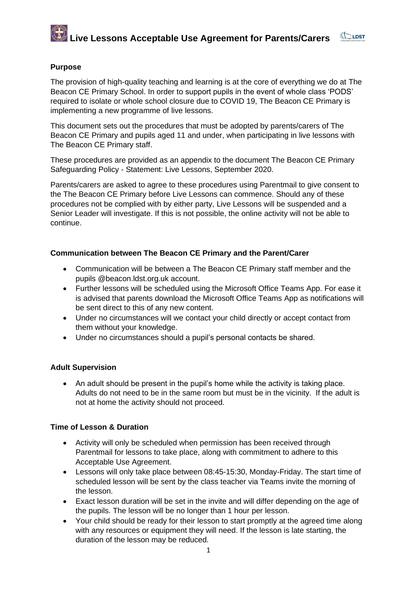# **Live Lessons Acceptable Use Agreement for Parents/Carers**



# **Purpose**

The provision of high-quality teaching and learning is at the core of everything we do at The Beacon CE Primary School. In order to support pupils in the event of whole class 'PODS' required to isolate or whole school closure due to COVID 19, The Beacon CE Primary is implementing a new programme of live lessons.

This document sets out the procedures that must be adopted by parents/carers of The Beacon CE Primary and pupils aged 11 and under, when participating in live lessons with The Beacon CE Primary staff.

These procedures are provided as an appendix to the document The Beacon CE Primary Safeguarding Policy - Statement: Live Lessons, September 2020.

Parents/carers are asked to agree to these procedures using Parentmail to give consent to the The Beacon CE Primary before Live Lessons can commence. Should any of these procedures not be complied with by either party, Live Lessons will be suspended and a Senior Leader will investigate. If this is not possible, the online activity will not be able to continue.

## **Communication between The Beacon CE Primary and the Parent/Carer**

- Communication will be between a The Beacon CE Primary staff member and the pupils @beacon.ldst.org.uk account.
- Further lessons will be scheduled using the Microsoft Office Teams App. For ease it is advised that parents download the Microsoft Office Teams App as notifications will be sent direct to this of any new content.
- Under no circumstances will we contact your child directly or accept contact from them without your knowledge.
- Under no circumstances should a pupil's personal contacts be shared.

# **Adult Supervision**

• An adult should be present in the pupil's home while the activity is taking place. Adults do not need to be in the same room but must be in the vicinity. If the adult is not at home the activity should not proceed.

### **Time of Lesson & Duration**

- Activity will only be scheduled when permission has been received through Parentmail for lessons to take place, along with commitment to adhere to this Acceptable Use Agreement.
- Lessons will only take place between 08:45-15:30, Monday-Friday. The start time of scheduled lesson will be sent by the class teacher via Teams invite the morning of the lesson.
- Exact lesson duration will be set in the invite and will differ depending on the age of the pupils. The lesson will be no longer than 1 hour per lesson.
- Your child should be ready for their lesson to start promptly at the agreed time along with any resources or equipment they will need. If the lesson is late starting, the duration of the lesson may be reduced.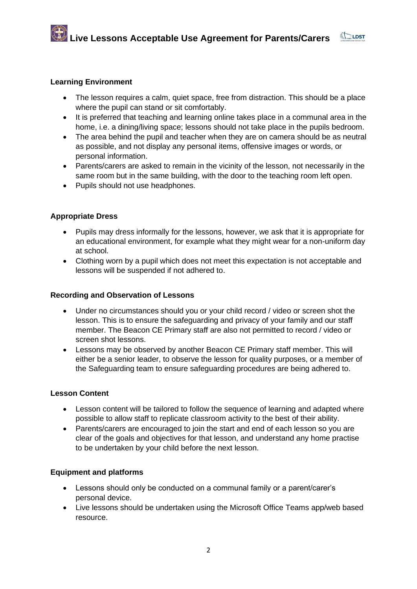

- The lesson requires a calm, quiet space, free from distraction. This should be a place where the pupil can stand or sit comfortably.
- It is preferred that teaching and learning online takes place in a communal area in the home, i.e. a dining/living space; lessons should not take place in the pupils bedroom.
- The area behind the pupil and teacher when they are on camera should be as neutral as possible, and not display any personal items, offensive images or words, or personal information.
- Parents/carers are asked to remain in the vicinity of the lesson, not necessarily in the same room but in the same building, with the door to the teaching room left open.
- Pupils should not use headphones.

#### **Appropriate Dress**

- Pupils may dress informally for the lessons, however, we ask that it is appropriate for an educational environment, for example what they might wear for a non-uniform day at school.
- Clothing worn by a pupil which does not meet this expectation is not acceptable and lessons will be suspended if not adhered to.

#### **Recording and Observation of Lessons**

- Under no circumstances should you or your child record / video or screen shot the lesson. This is to ensure the safeguarding and privacy of your family and our staff member. The Beacon CE Primary staff are also not permitted to record / video or screen shot lessons.
- Lessons may be observed by another Beacon CE Primary staff member. This will either be a senior leader, to observe the lesson for quality purposes, or a member of the Safeguarding team to ensure safeguarding procedures are being adhered to.

#### **Lesson Content**

- Lesson content will be tailored to follow the sequence of learning and adapted where possible to allow staff to replicate classroom activity to the best of their ability.
- Parents/carers are encouraged to join the start and end of each lesson so you are clear of the goals and objectives for that lesson, and understand any home practise to be undertaken by your child before the next lesson.

#### **Equipment and platforms**

- Lessons should only be conducted on a communal family or a parent/carer's personal device.
- Live lessons should be undertaken using the Microsoft Office Teams app/web based resource.